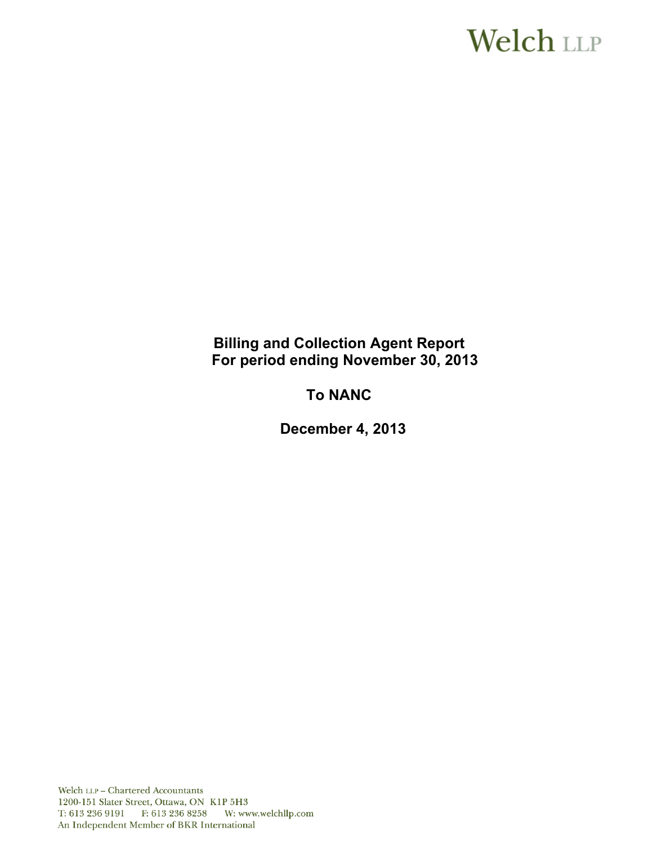# **Welch LLP**

# **Billing and Collection Agent Report For period ending November 30, 2013**

# **To NANC**

**December 4, 2013**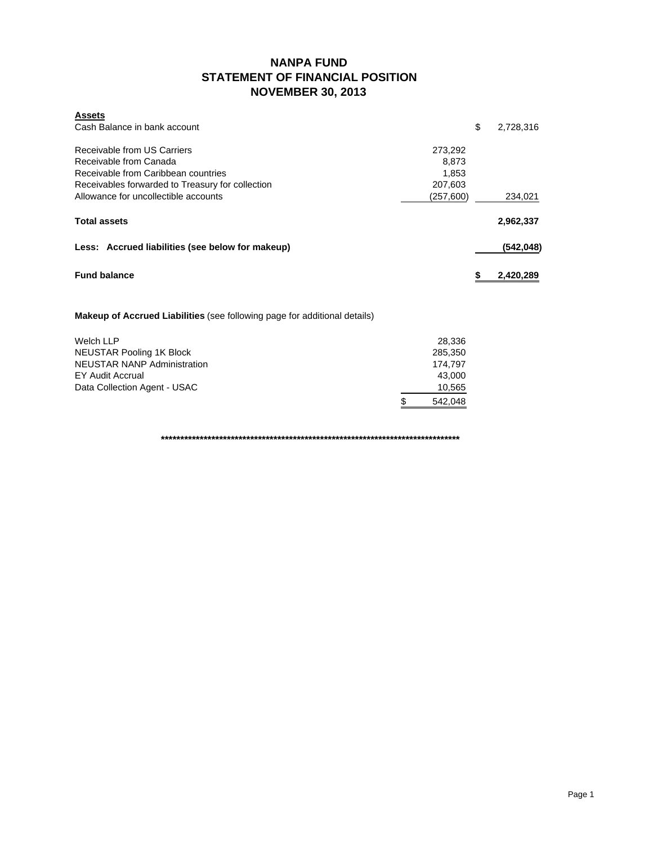### **NANPA FUND STATEMENT OF FINANCIAL POSITION NOVEMBER 30, 2013**

| <b>Assets</b>                                    |            |            |
|--------------------------------------------------|------------|------------|
| Cash Balance in bank account                     | \$         | 2,728,316  |
| Receivable from US Carriers                      | 273,292    |            |
| Receivable from Canada                           | 8,873      |            |
| Receivable from Caribbean countries              | 1.853      |            |
| Receivables forwarded to Treasury for collection | 207,603    |            |
| Allowance for uncollectible accounts             | (257, 600) | 234,021    |
| <b>Total assets</b>                              |            | 2,962,337  |
| Less: Accrued liabilities (see below for makeup) |            | (542, 048) |
| <b>Fund balance</b>                              |            | 2,420,289  |

**Makeup of Accrued Liabilities** (see following page for additional details)

| Welch LLP                          | 28.336        |
|------------------------------------|---------------|
| NEUSTAR Pooling 1K Block           | 285,350       |
| <b>NEUSTAR NANP Administration</b> | 174.797       |
| EY Audit Accrual                   | 43.000        |
| Data Collection Agent - USAC       | 10,565        |
|                                    | \$<br>542.048 |

**\*\*\*\*\*\*\*\*\*\*\*\*\*\*\*\*\*\*\*\*\*\*\*\*\*\*\*\*\*\*\*\*\*\*\*\*\*\*\*\*\*\*\*\*\*\*\*\*\*\*\*\*\*\*\*\*\*\*\*\*\*\*\*\*\*\*\*\*\*\*\*\*\*\*\*\*\***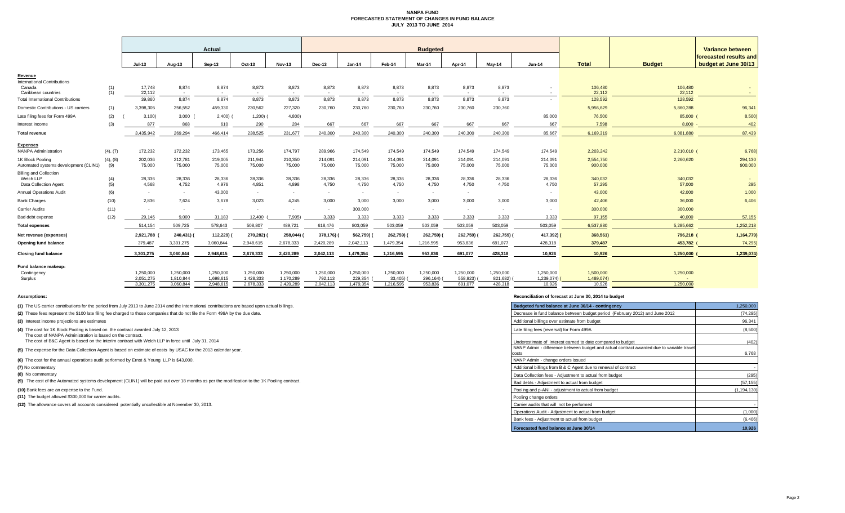#### **NANPA FUND FORECASTED STATEMENT OF CHANGES IN FUND BALANCE JULY 2013 TO JUNE 2014**

|                                                |            |                 |                          | Actual          |                 |                 | <b>Budgeted</b> |                 |                 |                 |                 |                 |                 |                   |                   | Variance between       |  |
|------------------------------------------------|------------|-----------------|--------------------------|-----------------|-----------------|-----------------|-----------------|-----------------|-----------------|-----------------|-----------------|-----------------|-----------------|-------------------|-------------------|------------------------|--|
|                                                |            |                 |                          |                 |                 |                 |                 |                 |                 |                 |                 |                 |                 |                   |                   | forecasted results and |  |
|                                                |            | Jul-13          | Aug-13                   | Sep-13          | Oct-13          | Nov-13          | <b>Dec-13</b>   | <b>Jan-14</b>   | Feb-14          | Mar-14          | Apr-14          | May-14          | <b>Jun-14</b>   | <b>Total</b>      | <b>Budget</b>     | budget at June 30/13   |  |
| Revenue                                        |            |                 |                          |                 |                 |                 |                 |                 |                 |                 |                 |                 |                 |                   |                   |                        |  |
| <b>International Contributions</b>             |            | 17,748          | 8,874                    | 8,874           | 8,873           | 8,873           | 8,873           | 8,873           | 8,873           | 8,873           | 8,873           | 8,873           |                 | 106,480           | 106,480           |                        |  |
| Canada<br>Caribbean countries                  | (1)<br>(1) | 22.112          | $\sim$                   |                 | $\sim$          | $\sim$          | <b>Contract</b> | $\sim$          | . .             | <b>Contract</b> |                 | . .             | . .             | 22.112            | 22,112            | <b>COL</b>             |  |
| <b>Total International Contributions</b>       |            | 39,860          | 8,874                    | 8,874           | 8,873           | 8,873           | 8.873           | 8,873           | 8,873           | 8,873           | 8,873           | 8.873           |                 | 128,592           | 128,592           |                        |  |
| Domestic Contributions - US carriers           | (1)        | 3.398.305       | 256,552                  | 459,330         | 230,562         | 227,320         | 230,760         | 230,760         | 230,760         | 230,760         | 230,760         | 230,760         |                 | 5,956,629         | 5,860,288         | 96,341                 |  |
| Late filing fees for Form 499A                 | (2)        | 3,100           | $3,000$ (                | $2,400$ ) (     | 1,200)          | 4,800)          |                 |                 |                 |                 |                 |                 | 85,000          | 76,500            | 85,000 (          | 8,500                  |  |
| Interest income                                | (3)        | 877             | 868                      | 610             | 290             | 284             | 667             | 667             | 667             | 667             | 667             | 667             | 667             | 7,598             | 8,000             | 402                    |  |
| Total revenue                                  |            | 3.435.942       | 269.294                  | 466.414         | 238.525         | 231,677         | 240.300         | 240,300         | 240,300         | 240,300         | 240.300         | 240,300         | 85.667          | 6,169,319         | 6,081,880         | 87,439                 |  |
|                                                |            |                 |                          |                 |                 |                 |                 |                 |                 |                 |                 |                 |                 |                   |                   |                        |  |
| <b>Expenses</b><br><b>NANPA Administration</b> | (4), (7)   | 172,232         | 172,232                  | 173,465         | 173,256         | 174,797         | 289,966         | 174,549         | 174,549         | 174,549         | 174,549         | 174,549         | 174,549         | 2,203,242         | 2,210,010 (       | 6,768)                 |  |
| 1K Block Pooling                               | (4), (8)   | 202,036         | 212,781                  | 219,005         | 211,941         | 210,350         | 214,091         | 214,091         | 214,091         | 214,091         | 214,091         | 214,091         | 214,091         | 2,554,750         | 2,260,620         | 294,130                |  |
| Automated systems development (CLIN1)          | (9)        | 75.000          | 75,000                   | 75,000          | 75,000          | 75,000          | 75,000          | 75,000          | 75,000          | 75,000          | 75,000          | 75,000          | 75,000          | 900,000           |                   | 900,000                |  |
| <b>Billing and Collection</b>                  |            |                 |                          |                 |                 |                 |                 |                 |                 |                 |                 |                 |                 |                   |                   |                        |  |
| Welch LLP<br>Data Collection Agent             | (4)<br>(5) | 28,336<br>4.568 | 28,336<br>4,752          | 28,336<br>4,976 | 28,336<br>4,851 | 28,336<br>4,898 | 28,336<br>4,750 | 28,336<br>4,750 | 28,336<br>4,750 | 28,336<br>4,750 | 28,336<br>4,750 | 28,336<br>4.750 | 28,336<br>4,750 | 340,032<br>57,295 | 340,032<br>57,000 | 295                    |  |
| <b>Annual Operations Audit</b>                 | (6)        | $\sim$          | $\sim$                   | 43,000          | $\sim$          |                 | $\sim$          |                 | $\sim$          | ۰.              | $\sim$          |                 |                 | 43,000            | 42,000            | 1,000                  |  |
| <b>Bank Charges</b>                            | (10)       | 2,836           | 7,624                    | 3,678           | 3,023           | 4,245           | 3,000           | 3,000           | 3,000           | 3,000           | 3,000           | 3.000           | 3,000           | 42,406            | 36,000            | 6,406                  |  |
| <b>Carrier Audits</b>                          | (11)       | $\sim$          | $\overline{\phantom{a}}$ | $\sim$          | $\sim$          |                 | $\sim$          | 300,000         |                 |                 | $\sim$          |                 |                 | 300,000           | 300,000           |                        |  |
| Bad debt expense                               | (12)       | 29.146          | 9.000                    | 31,183          | 12.400          | 7.905)          | 3,333           | 3,333           | 3,333           | 3.333           | 3.333           | 3.333           | 3.333           | 97.155            | 40,000            | 57,155                 |  |
| <b>Total expenses</b>                          |            | 514,154         | 509,725                  | 578,643         | 508,807         | 489,721         | 618,476         | 803,059         | 503,059         | 503,059         | 503,059         | 503,059         | 503,059         | 6,537,880         | 5,285,662         | 1,252,218              |  |
| Net revenue (expenses)                         |            | 2,921,788       | 240,431)                 | 112,229)        | 270,282)        | 258,044) (      | 378,176)        | 562,759) (      | 262,759)        | 262,759)        | 262,759)        | 262,759)(       | 417,392) (      | 368,561)          | 796,218 (         | 1,164,779)             |  |
| Opening fund balance                           |            | 379,487         | 3,301,275                | 3,060,844       | 2,948,615       | 2,678,333       | 2,420,289       | 2,042,113       | 1,479,354       | 1,216,595       | 953,836         | 691,077         | 428,318         | 379,487           | 453,782           | 74,295                 |  |
| <b>Closing fund balance</b>                    |            | 3,301,275       | 3,060,844                | 2,948,615       | 2,678,333       | 2,420,289       | 2,042,113       | 1,479,354       | 1,216,595       | 953,836         | 691.077         | 428,318         | 10,926          | 10,926            | 1,250,000         | 1,239,074              |  |
|                                                |            |                 |                          |                 |                 |                 |                 |                 |                 |                 |                 |                 |                 |                   |                   |                        |  |
| Fund balance makeup:<br>Contingency            |            | 1.250.000       | 1.250.000                | 1,250,000       | 1,250,000       | 1,250,000       | 1.250.000       | 1,250,000       | 1.250.000       | 1,250,000       | 1.250.000       | 1.250.000       | 1,250,000       | 1,500,000         | 1,250,000         |                        |  |
| Surplus                                        |            | 2,051,275       | 1,810,844                | 1,698,615       | 1.428.333       | 1,170,289       | 792,113         | 229,354         | 33,405)         | 296,164)        | 558,923)        | 821.682)        | 1.239.074)      | 1.489.074)        |                   |                        |  |
|                                                |            | 3,301,275       | 3.060.844                | 2,948,615       | 2,678,333       | 2,420,289       | 2,042,113       | 1,479,354       | 1,216,595       | 953,836         | 691.077         | 428,318         | 10,926          | 10.926            | 1.250,000         |                        |  |
|                                                |            |                 |                          |                 |                 |                 |                 |                 |                 |                 |                 |                 |                 |                   |                   |                        |  |

**(1)** The US carrier contributions for the period from July 2013 to June 2014 and the International contributions are based upon actual billings.

**(8)** No commentary

#### **Assumptions: Reconciliation of forecast at June 30, 2014 to budget**

| (1) The US carrier contributions for the period from July 2013 to June 2014 and the International contributions are based upon actual billings. | Budgeted fund balance at June 30/14 - contingency                                        | 1,250,000     |
|-------------------------------------------------------------------------------------------------------------------------------------------------|------------------------------------------------------------------------------------------|---------------|
| (2) These fees represent the \$100 late filing fee charged to those companies that do not file the Form 499A by the due date.                   | Decrease in fund balance between budget period (February 2012) and June 2012             | (74, 295)     |
| (3) Interest income projections are estimates                                                                                                   | Additional billings over estimate from budget                                            | 96,341        |
| (4) The cost for 1K Block Pooling is based on the contract awarded July 12, 2013<br>The cost of NANPA Administration is based on the contract.  | Late filing fees (reversal) for Form 499A                                                | (8,500)       |
| The cost of B&C Agent is based on the interim contract with Welch LLP in force until July 31, 2014                                              | Underestimate of interest earned to date compared to budget                              | (402)         |
| (5) The expense for the Data Collection Agent is based on estimate of costs by USAC for the 2013 calendar year.                                 | NANP Admin - difference between budget and actual contract awarded due to variable trave | 6,768         |
| (6) The cost for the annual operations audit performed by Ernst & Young LLP is \$43,000.                                                        | NANP Admin - change orders issued                                                        |               |
| (7) No commentary                                                                                                                               | Additional billings from B & C Agent due to renewal of contract                          |               |
| (8) No commentary                                                                                                                               | Data Collection fees - Adjustment to actual from budget                                  | (295)         |
| (9) The cost of the Automated systems development (CLIN1) will be paid out over 18 months as per the modification to the 1K Pooling contract.   | Bad debts - Adjustment to actual from budget                                             | (57, 155)     |
| (10) Bank fees are an expense to the Fund.                                                                                                      | Pooling and p-ANI - adjustment to actual from budget                                     | (1, 194, 130) |
| (11) The budget allowed \$300,000 for carrier audits.                                                                                           | Pooling change orders                                                                    |               |
| (12) The allowance covers all accounts considered potentially uncollectible at November 30, 2013.                                               | Carrier audits that will not be performed                                                |               |
|                                                                                                                                                 | Operations Audit - Adiustment to actual from budget                                      | (1,000)       |
|                                                                                                                                                 | Bank fees - Adjustment to actual from budget                                             | (6, 406)      |
|                                                                                                                                                 | Forecasted fund balance at June 30/14                                                    | 10,926        |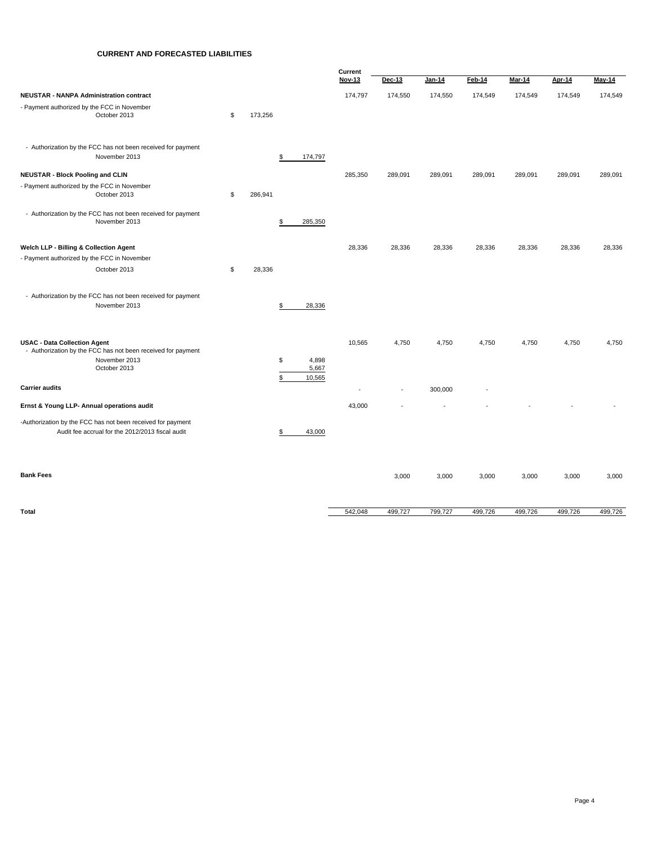#### **CURRENT AND FORECASTED LIABILITIES**

|                                                              |               |                      | Current                  |                          |               |         |         |               |         |  |
|--------------------------------------------------------------|---------------|----------------------|--------------------------|--------------------------|---------------|---------|---------|---------------|---------|--|
|                                                              |               |                      | <b>Nov-13</b>            | Dec-13                   | <b>Jan-14</b> | Feb-14  | Mar-14  | <b>Apr-14</b> | May-14  |  |
| NEUSTAR - NANPA Administration contract                      |               |                      | 174,797                  | 174,550                  | 174,550       | 174,549 | 174,549 | 174,549       | 174,549 |  |
| - Payment authorized by the FCC in November                  |               |                      |                          |                          |               |         |         |               |         |  |
| October 2013                                                 | \$<br>173,256 |                      |                          |                          |               |         |         |               |         |  |
|                                                              |               |                      |                          |                          |               |         |         |               |         |  |
| - Authorization by the FCC has not been received for payment |               |                      |                          |                          |               |         |         |               |         |  |
| November 2013                                                |               | \$<br>174,797        |                          |                          |               |         |         |               |         |  |
|                                                              |               |                      |                          |                          |               |         |         |               |         |  |
| <b>NEUSTAR - Block Pooling and CLIN</b>                      |               |                      | 285,350                  | 289,091                  | 289,091       | 289,091 | 289,091 | 289,091       | 289,091 |  |
| - Payment authorized by the FCC in November<br>October 2013  | \$            |                      |                          |                          |               |         |         |               |         |  |
|                                                              | 286,941       |                      |                          |                          |               |         |         |               |         |  |
| - Authorization by the FCC has not been received for payment |               |                      |                          |                          |               |         |         |               |         |  |
| November 2013                                                |               | 285,350<br>\$        |                          |                          |               |         |         |               |         |  |
|                                                              |               |                      |                          |                          |               |         |         |               |         |  |
| Welch LLP - Billing & Collection Agent                       |               |                      | 28,336                   | 28,336                   | 28,336        | 28,336  | 28,336  | 28,336        | 28,336  |  |
| - Payment authorized by the FCC in November                  |               |                      |                          |                          |               |         |         |               |         |  |
| October 2013                                                 | \$<br>28,336  |                      |                          |                          |               |         |         |               |         |  |
|                                                              |               |                      |                          |                          |               |         |         |               |         |  |
| - Authorization by the FCC has not been received for payment |               |                      |                          |                          |               |         |         |               |         |  |
| November 2013                                                |               | 28,336<br>\$         |                          |                          |               |         |         |               |         |  |
|                                                              |               |                      |                          |                          |               |         |         |               |         |  |
|                                                              |               |                      |                          |                          |               |         |         |               |         |  |
| <b>USAC - Data Collection Agent</b>                          |               |                      | 10,565                   | 4,750                    | 4,750         | 4,750   | 4,750   | 4,750         | 4,750   |  |
| - Authorization by the FCC has not been received for payment |               |                      |                          |                          |               |         |         |               |         |  |
| November 2013<br>October 2013                                |               | 4,898<br>\$<br>5,667 |                          |                          |               |         |         |               |         |  |
|                                                              |               | \$<br>10,565         |                          |                          |               |         |         |               |         |  |
| <b>Carrier audits</b>                                        |               |                      | $\overline{\phantom{a}}$ | $\overline{\phantom{a}}$ | 300,000       |         |         |               |         |  |
|                                                              |               |                      |                          |                          |               |         |         |               |         |  |
| Ernst & Young LLP- Annual operations audit                   |               |                      | 43,000                   |                          |               |         |         |               |         |  |
| -Authorization by the FCC has not been received for payment  |               |                      |                          |                          |               |         |         |               |         |  |
| Audit fee accrual for the 2012/2013 fiscal audit             |               | 43,000<br>\$         |                          |                          |               |         |         |               |         |  |
|                                                              |               |                      |                          |                          |               |         |         |               |         |  |
|                                                              |               |                      |                          |                          |               |         |         |               |         |  |
| <b>Bank Fees</b>                                             |               |                      |                          |                          |               |         |         |               |         |  |
|                                                              |               |                      |                          | 3,000                    | 3,000         | 3,000   | 3,000   | 3,000         | 3,000   |  |
|                                                              |               |                      |                          |                          |               |         |         |               |         |  |

**Total** 542,048 499,727 799,727 499,726 499,726 499,726 499,726